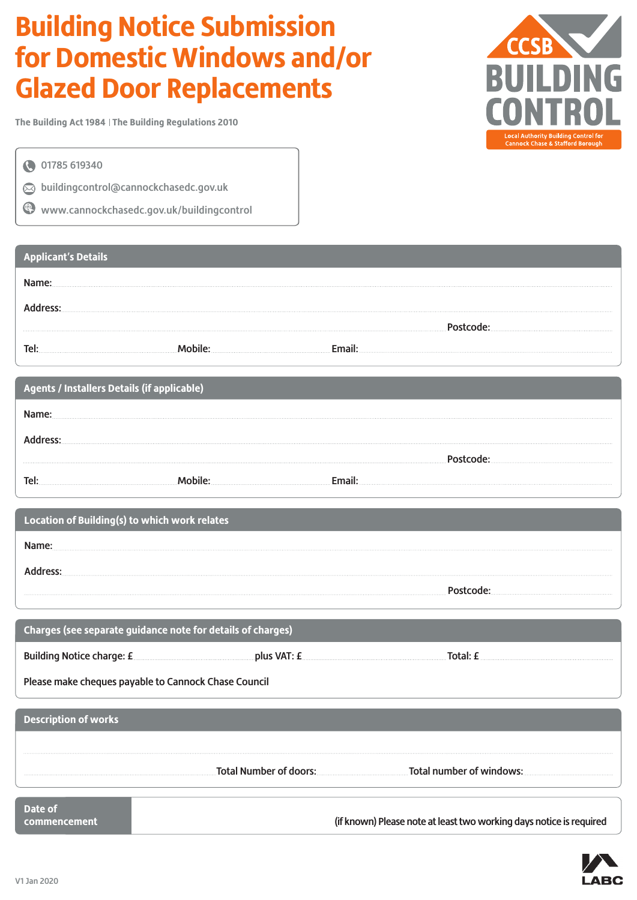# **Building Notice Submission for Domestic Windows and/or Glazed Door Replacements**

**The Building Act 1984 The Building Regulations 2010**

01785 619340

 $\oslash$  buildingcontrol@cannockchasedc.gov.uk

www.cannockchasedc.gov.uk/buildingcontrol

## **Applicant's Details** Name: Address: Postcode: Tel: Mobile: Email:

| <b>Agents / Installers Details (if applicable)</b> |  |  |
|----------------------------------------------------|--|--|
|                                                    |  |  |
|                                                    |  |  |
|                                                    |  |  |
|                                                    |  |  |
|                                                    |  |  |

| Location of Building(s) to which work relates |  |
|-----------------------------------------------|--|
|                                               |  |
|                                               |  |
|                                               |  |

| Charges (see separate guidance note for details of charges) |  |          |  |  |
|-------------------------------------------------------------|--|----------|--|--|
| Building Notice charge: £ 2000 million plus VAT: £ 2000     |  | Total: f |  |  |
| Please make cheques payable to Cannock Chase Council        |  |          |  |  |
|                                                             |  |          |  |  |

| <b>Description of works</b> |                        |                          |
|-----------------------------|------------------------|--------------------------|
|                             |                        |                          |
|                             | Total Number of doors: | Total number of windows: |
| Date of                     |                        |                          |

**commencement** (if known) Please note at least two working days notice is required



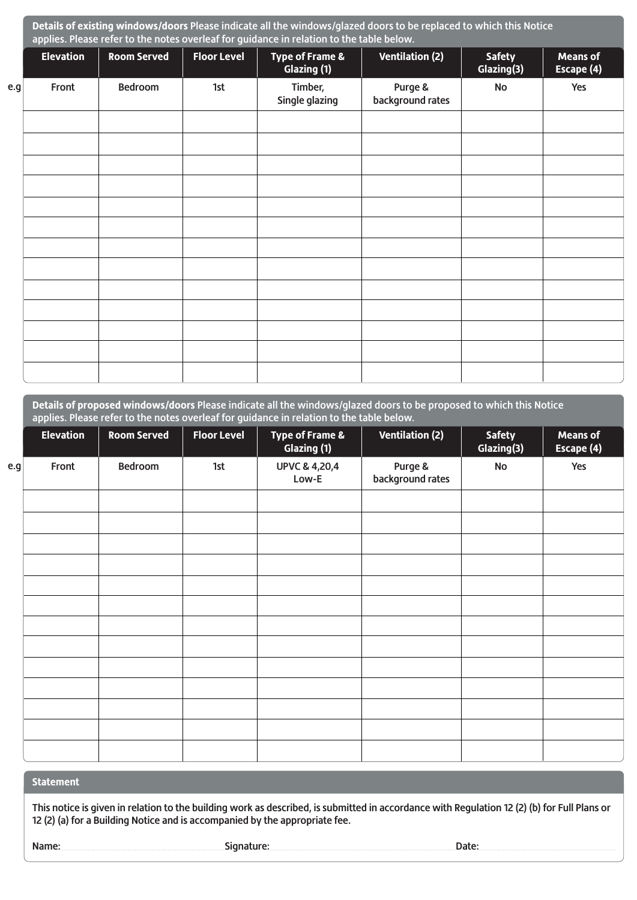|     | Details of existing windows/doors Please indicate all the windows/glazed doors to be replaced to which this Notice<br>applies. Please refer to the notes overleaf for guidance in relation to the table below. |                    |                    |                                |                             |                             |                               |
|-----|----------------------------------------------------------------------------------------------------------------------------------------------------------------------------------------------------------------|--------------------|--------------------|--------------------------------|-----------------------------|-----------------------------|-------------------------------|
|     | <b>Elevation</b>                                                                                                                                                                                               | <b>Room Served</b> | <b>Floor Level</b> | Type of Frame &<br>Glazing (1) | <b>Ventilation (2)</b>      | <b>Safety</b><br>Glazing(3) | <b>Means of</b><br>Escape (4) |
| e.g | Front                                                                                                                                                                                                          | <b>Bedroom</b>     | 1st                | Timber,<br>Single glazing      | Purge &<br>background rates | No                          | Yes                           |
|     |                                                                                                                                                                                                                |                    |                    |                                |                             |                             |                               |
|     |                                                                                                                                                                                                                |                    |                    |                                |                             |                             |                               |
|     |                                                                                                                                                                                                                |                    |                    |                                |                             |                             |                               |
|     |                                                                                                                                                                                                                |                    |                    |                                |                             |                             |                               |
|     |                                                                                                                                                                                                                |                    |                    |                                |                             |                             |                               |
|     |                                                                                                                                                                                                                |                    |                    |                                |                             |                             |                               |
|     |                                                                                                                                                                                                                |                    |                    |                                |                             |                             |                               |
|     |                                                                                                                                                                                                                |                    |                    |                                |                             |                             |                               |
|     |                                                                                                                                                                                                                |                    |                    |                                |                             |                             |                               |
|     |                                                                                                                                                                                                                |                    |                    |                                |                             |                             |                               |
|     |                                                                                                                                                                                                                |                    |                    |                                |                             |                             |                               |
|     |                                                                                                                                                                                                                |                    |                    |                                |                             |                             |                               |

|     | Details of proposed windows/doors Please indicate all the windows/glazed doors to be proposed to which this Notice<br>applies. Please refer to the notes overleaf for guidance in relation to the table below. |                    |                    |                                   |                             |                             |                               |
|-----|----------------------------------------------------------------------------------------------------------------------------------------------------------------------------------------------------------------|--------------------|--------------------|-----------------------------------|-----------------------------|-----------------------------|-------------------------------|
|     | <b>Elevation</b>                                                                                                                                                                                               | <b>Room Served</b> | <b>Floor Level</b> | Type of Frame &<br>Glazing (1)    | <b>Ventilation (2)</b>      | <b>Safety</b><br>Glazing(3) | <b>Means of</b><br>Escape (4) |
| e.g | Front                                                                                                                                                                                                          | <b>Bedroom</b>     | 1st                | <b>UPVC &amp; 4,20,4</b><br>Low-E | Purge &<br>background rates | <b>No</b>                   | Yes                           |
|     |                                                                                                                                                                                                                |                    |                    |                                   |                             |                             |                               |
|     |                                                                                                                                                                                                                |                    |                    |                                   |                             |                             |                               |
|     |                                                                                                                                                                                                                |                    |                    |                                   |                             |                             |                               |
|     |                                                                                                                                                                                                                |                    |                    |                                   |                             |                             |                               |
|     |                                                                                                                                                                                                                |                    |                    |                                   |                             |                             |                               |
|     |                                                                                                                                                                                                                |                    |                    |                                   |                             |                             |                               |
|     |                                                                                                                                                                                                                |                    |                    |                                   |                             |                             |                               |
|     |                                                                                                                                                                                                                |                    |                    |                                   |                             |                             |                               |
|     |                                                                                                                                                                                                                |                    |                    |                                   |                             |                             |                               |

### **Statement**

This notice is given in relation to the building work as described, is submitted in accordance with Regulation 12 (2) (b) for Full Plans or 12 (2) (a) for a Building Notice and is accompanied by the appropriate fee.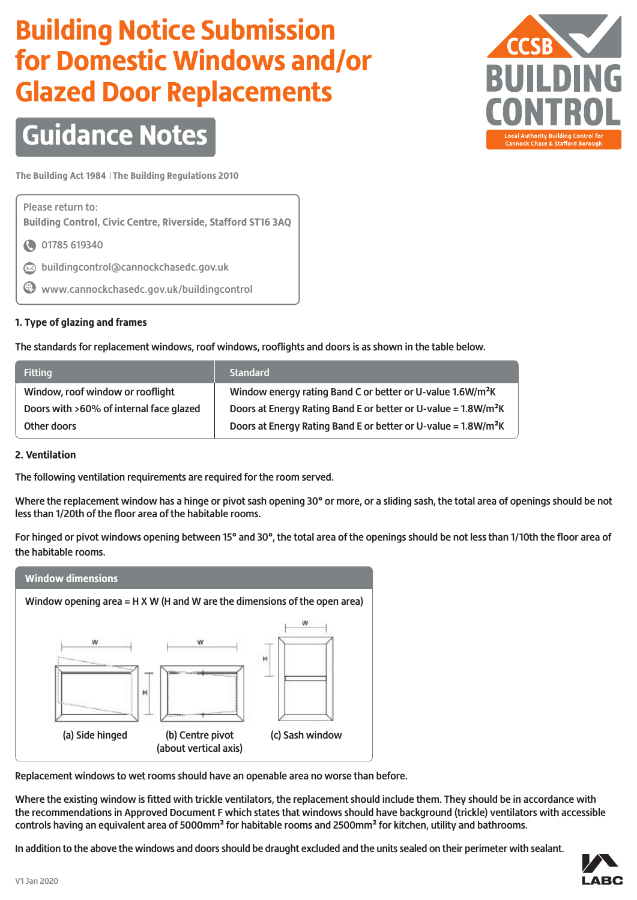# **Building Notice Submission for Domestic Windows and/or Glazed Door Replacements**



# **Guidance Notes**

**The Building Act 1984 The Building Regulations 2010**

Please return to: **Building Control, Civic Centre, Riverside, Stafford ST16 3AQ** 

- 1785 619340
- $\oslash$  buildingcontrol@cannockchasedc.gov.uk
- www.cannockchasedc.gov.uk/buildingcontrol

### **1. Type of glazing and frames**

The standards for replacement windows, roof windows, rooflights and doors is as shown in the table below.

| <b>Fitting</b>                          | <b>Standard</b>                                                            |
|-----------------------------------------|----------------------------------------------------------------------------|
| Window, roof window or rooflight        | Window energy rating Band C or better or U-value 1.6W/m <sup>2</sup> K     |
| Doors with >60% of internal face glazed | Doors at Energy Rating Band E or better or U-value = 1.8W/m <sup>2</sup> K |
| Other doors                             | Doors at Energy Rating Band E or better or U-value = 1.8W/m <sup>2</sup> K |

### **2. Ventilation**

The following ventilation requirements are required for the room served.

Where the replacement window has a hinge or pivot sash opening 30**°** or more, or a sliding sash, the total area of openings should be not less than 1/20th of the floor area of the habitable rooms.

For hinged or pivot windows opening between 15**°** and 30**°**, the total area of the openings should be not less than 1/10th the floor area of the habitable rooms.



Replacement windows to wet rooms should have an openable area no worse than before.

Where the existing window is fitted with trickle ventilators, the replacement should include them. They should be in accordance with the recommendations in Approved Document F which states that windows should have background (trickle) ventilators with accessible controls having an equivalent area of 5000mm**²** for habitable rooms and 2500mm**²** for kitchen, utility and bathrooms.

In addition to the above the windows and doors should be draught excluded and the units sealed on their perimeter with sealant.

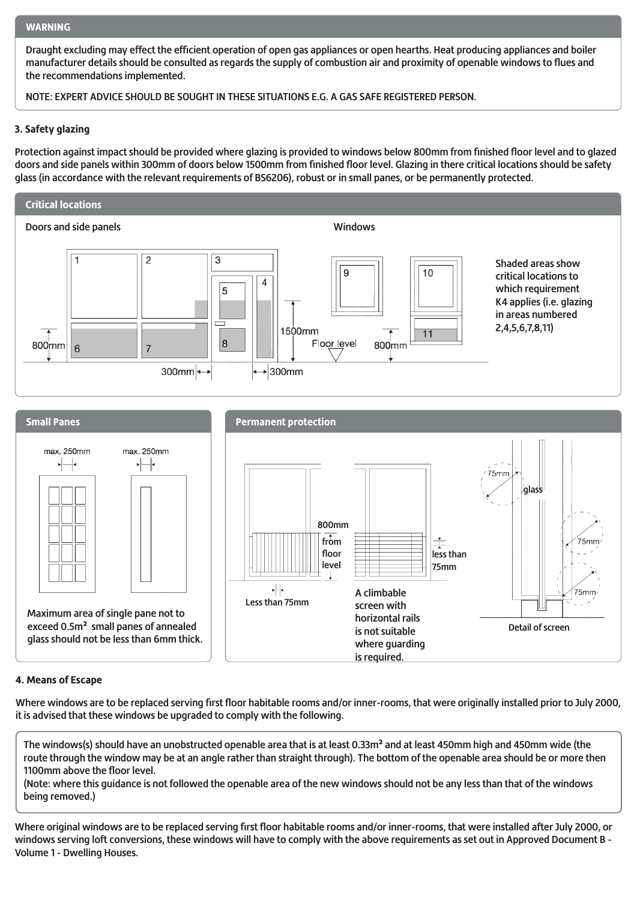#### **WARNING**

Draught excluding may effect the efficient operation of open gas appliances or open hearths. Heat producing appliances and boiler manufacturer details should be consulted as regards the supply of combustion air and proximity of openable windows to flues and the recommendations implemented.

NOTE: EXPERT ADVICE SHOULD BE SOUGHT IN THESE SITUATIONS E.G. A GAS SAFE REGISTERED PERSON.

#### **3. Safety glazing**

Protection against impact should be provided where glazing is provided to windows below 800mm from finished floor level and to glazed doors and side panels within 300mm of doors below 1500mm from finished floor level. Glazing in there critical locations should be safety glass (in accordance with the relevant requirements of BS6206), robust or in small panes, or be permanently protected.





#### **4. Means of Escape**

Where windows are to be replaced serving first floor habitable rooms and/or inner-rooms, that were originally installed prior to July 2000, it is advised that these windows be upgraded to comply with the following.

The windows(s) should have an unobstructed openable area that is at least 0.33m**²** and at least 450mm high and 450mm wide (the route through the window may be at an angle rather than straight through). The bottom of the openable area should be or more then 1100mm above the floor level.

(Note: where this guidance is not followed the openable area of the new windows should not be any less than that of the windows being removed.)

Where original windows are to be replaced serving first floor habitable rooms and/or inner-rooms, that were installed after July 2000, or windows serving loft conversions, these windows will have to comply with the above requirements as set out in Approved Document B - Volume 1 - Dwelling Houses.